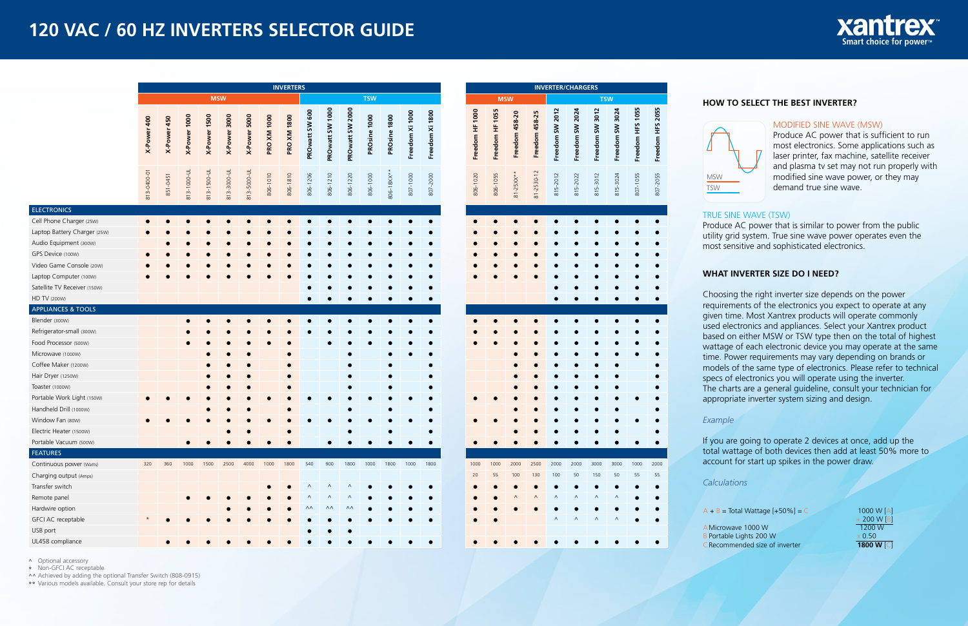# **120 VAC / 60 HZ INVERTERS SELECTOR GUIDE**



|                                                                                                                                                                                                                                                                           | <b>INVERTERS</b> |             |              |              |              |              |                    |                    |                                             |                            |                                  |              |              |                 |                 |
|---------------------------------------------------------------------------------------------------------------------------------------------------------------------------------------------------------------------------------------------------------------------------|------------------|-------------|--------------|--------------|--------------|--------------|--------------------|--------------------|---------------------------------------------|----------------------------|----------------------------------|--------------|--------------|-----------------|-----------------|
|                                                                                                                                                                                                                                                                           |                  |             |              |              | <b>MSW</b>   |              |                    |                    |                                             |                            |                                  | <b>TSW</b>   |              |                 |                 |
|                                                                                                                                                                                                                                                                           | X-Power 400      | X-Power 450 | X-Power 1000 | X-Power 1500 | X-Power 3000 | X-Power 5000 | <b>PRO XM 1000</b> | <b>PRO XM 1800</b> | PROwatt SW 600                              | PROwatt SW 1000            | PROwatt SW 2000                  | PROsine 1000 | PROsine 1800 | Freedom Xi 1000 | Freedom Xi 1800 |
|                                                                                                                                                                                                                                                                           | 813-0400-01      | 851-0451    | 813-1000-UL  | 813-1500-UL  | 813-3000-UL  | 813-5000-UL  | 806-1010           | 806-1810           | 806-1206                                    | 806-1210                   | 806-1220                         | 806-1000     | 806-18XX**   | 807-1000        | 807-2000        |
| <b>ELECTRONICS</b>                                                                                                                                                                                                                                                        |                  |             |              |              |              |              |                    |                    |                                             |                            |                                  |              |              |                 |                 |
| Cell Phone Charger (25W)<br>Laptop Battery Charger (25W)<br>Audio Equipment (300W)<br>GPS Device (100W)<br>Video Game Console (20W)<br>Laptop Computer (100W)<br>Satellite TV Receiver (150W)                                                                             |                  |             |              |              |              |              |                    |                    |                                             |                            |                                  |              |              |                 |                 |
| HD TV (200W)                                                                                                                                                                                                                                                              |                  |             |              |              |              |              |                    |                    |                                             |                            |                                  |              |              |                 |                 |
| <b>APPLIANCES &amp; TOOLS</b><br>Blender (300W)                                                                                                                                                                                                                           |                  |             |              |              |              |              |                    |                    |                                             |                            |                                  |              |              |                 |                 |
| Refrigerator-small (300W)<br>Food Processor (500W)<br>Microwave (1000W)<br>Coffee Maker (1200W)<br>Hair Dryer (1250W)<br>Toaster (1000W)<br>Portable Work Light (150W)<br>Handheld Drill (1000W)<br>Window Fan (80W)<br>Electric Heater (1500W)<br>Portable Vacuum (500W) |                  |             |              |              |              |              |                    |                    |                                             |                            |                                  |              |              |                 |                 |
| <b>FEATURES</b>                                                                                                                                                                                                                                                           |                  |             |              |              |              |              |                    |                    |                                             |                            |                                  |              |              |                 |                 |
| Continuous power (Watts)<br>Charging output (Amps)<br>Transfer switch<br>Remote panel<br>Hardwire option<br>GFCI AC receptable                                                                                                                                            | 320              | 360         | 1000         | 1500         | 2500         | 4000         | 1000               | 1800               | 540<br>$\wedge$<br>Λ<br>$\wedge\wedge$<br>۰ | 900<br>$\wedge$<br>Λ<br>۸۸ | 1800<br>Λ<br>Λ<br>$\wedge\wedge$ | 1000         | 1800         | 1000            | 1800            |
| USB port<br>UL458 compliance                                                                                                                                                                                                                                              |                  |             |              |              |              |              |                    |                    |                                             |                            |                                  |              |              |                 |                 |

**INVERTER/CHARGERS**

|                 | <b>MSW</b>      |                       |                       |                                 |                           | <b>TSW</b>                 |                           |                  |                  |  |  |  |  |
|-----------------|-----------------|-----------------------|-----------------------|---------------------------------|---------------------------|----------------------------|---------------------------|------------------|------------------|--|--|--|--|
| Freedom HF 1000 | Freedom HF 1055 | <b>Freedom 458-20</b> | Freedom 458-25        | Freedom SW 2012                 | Freedom SW 2024           | Freedom SW 3012            | Freedom SW 3024           | Freedom HFS 1055 | Freedom HFS 2055 |  |  |  |  |
| 806-1020        | 806-1055        | $81 - 25XX^*$         | 81-2530-12            | 815-2012                        | 815-2022                  | 815-3012                   | 815-3024                  | 807-1055         | 807-2055         |  |  |  |  |
|                 |                 |                       |                       | 0                               |                           |                            |                           |                  | 0                |  |  |  |  |
|                 |                 |                       |                       |                                 |                           |                            |                           |                  |                  |  |  |  |  |
| 1000<br>20      | 1000<br>55      | 2000<br>100<br>Λ      | 2500<br>130<br>0<br>Λ | 2000<br>100<br>0<br>٨<br>0<br>Λ | 2000<br>50<br>۰<br>Λ<br>Λ | 3000<br>150<br>0<br>Λ<br>Λ | 3000<br>50<br>0<br>Λ<br>Λ | 1000<br>55       | 2000<br>55       |  |  |  |  |

**^** Optional accessory

**\*** Non-GFCI AC receptable

**^^** Achieved by adding the optional Transfer Switch (808-0915)

**\*\*** Various models available. Consult your store rep for details

#### **WHAT INVERTER SIZE DO I NEED?**

Choosing the right inverter size depends on the power requirements of the electronics you expect to operate at any given time. Most Xantrex products will operate commonly used electronics and appliances. Select your Xantrex product based on either MSW or TSW type then on the total of highest wattage of each electronic device you may operate at the same time. Power requirements may vary depending on brands or models of the same type of electronics. Please refer to technical specs of electronics you will operate using the inverter. The charts are a general guideline, consult your technician for appropriate inverter system sizing and design.

#### *Example*

If you are going to operate 2 devices at once, add up the total wattage of both devices then add at least 50% more to account for start up spikes in the power draw.

*Calculations*

 $A + B = Total Wattage [+50\%] = C$ 

AMicrowave 1000 W B Portable Lights 200 W CRecommended size of inverter

1000 W [A] + 200 W [B] 1200 W x 0.50 **1800 W** [C]

#### MODIFIED SINE WAVE (MSW)

Produce AC power that is sufficient to run most electronics. Some applications such as laser printer, fax machine, satellite receiver and plasma tv set may not run properly with modified sine wave power, or they may demand true sine wave.



#### **HOW TO SELECT THE BEST INVERTER?**

#### TRUE SINE WAVE (TSW)

Produce AC power that is similar to power from the public utility grid system. True sine wave power operates even the most sensitive and sophisticated electronics.